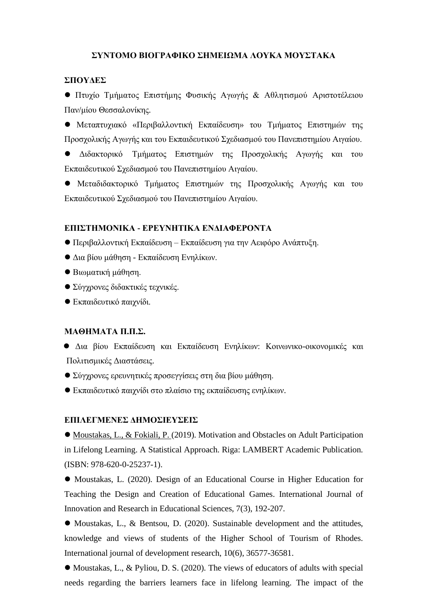# **ΣΥΝΤΟΜΟ ΒΙΟΓΡΑΦΙΚΟ ΣΗΜΕΙΩΜΑ ΛΟΥΚΑ ΜΟΥΣΤΑΚΑ**

#### **ΣΠΟΥΔΕΣ**

⚫ Πτυχίο Τμήματος Επιστήμης Φυσικής Αγωγής & Αθλητισμού Αριστοτέλειου Παν/μίου Θεσσαλονίκης.

⚫ Μεταπτυχιακό «Περιβαλλοντική Εκπαίδευση» του Τμήματος Επιστημών της Προσχολικής Αγωγής και του Εκπαιδευτικού Σχεδιασμού του Πανεπιστημίου Αιγαίου.

⚫ Διδακτορικό Τμήματος Επιστημών της Προσχολικής Αγωγής και του Εκπαιδευτικού Σχεδιασμού του Πανεπιστημίου Αιγαίου.

⚫ Μεταδιδακτορικό Τμήματος Επιστημών της Προσχολικής Αγωγής και του Εκπαιδευτικού Σχεδιασμού του Πανεπιστημίου Αιγαίου.

### **ΕΠΙΣΤΗΜΟΝΙΚΑ - ΕΡΕΥΝΗΤΙΚΑ ΕΝΔΙΑΦΕΡΟΝΤΑ**

- ⚫ Περιβαλλοντική Εκπαίδευση Εκπαίδευση για την Αειφόρο Ανάπτυξη.
- ⚫ Δια βίου μάθηση Εκπαίδευση Ενηλίκων.
- ⚫ Βιωματική μάθηση.
- ⚫ Σύγχρονες διδακτικές τεχνικές.
- ⚫ Εκπαιδευτικό παιχνίδι.

## **ΜΑΘΗΜΑΤΑ Π.Π.Σ.**

- ⚫ Δια βίου Εκπαίδευση και Εκπαίδευση Ενηλίκων: Κοινωνικο-οικονομικές και Πολιτισμικές Διαστάσεις.
- ⚫ Σύγχρονες ερευνητικές προσεγγίσεις στη δια βίου μάθηση.
- ⚫ Εκπαιδευτικό παιχνίδι στο πλαίσιο της εκπαίδευσης ενηλίκων.

### **ΕΠΙΛΕΓΜΕΝΕΣ ΔΗΜΟΣΙΕΥΣΕΙΣ**

● Moustakas, L., & Fokiali, P. (2019). Motivation and Obstacles on Adult Participation in Lifelong Learning. A Statistical Approach. Riga: LAMBERT Academic Publication. (ISBN: 978-620-0-25237-1).

⚫ Moustakas, L. (2020). Design of an Educational Course in Higher Education for Teaching the Design and Creation of Educational Games. International Journal of Innovation and Research in Educational Sciences, 7(3), 192-207.

⚫ Moustakas, L., & Bentsou, D. (2020). Sustainable development and the attitudes, knowledge and views of students of the Higher School of Tourism of Rhodes. International journal of development research, 10(6), 36577-36581.

⚫ Moustakas, L., & Pyliou, D. S. (2020). The views of educators of adults with special needs regarding the barriers learners face in lifelong learning. The impact of the